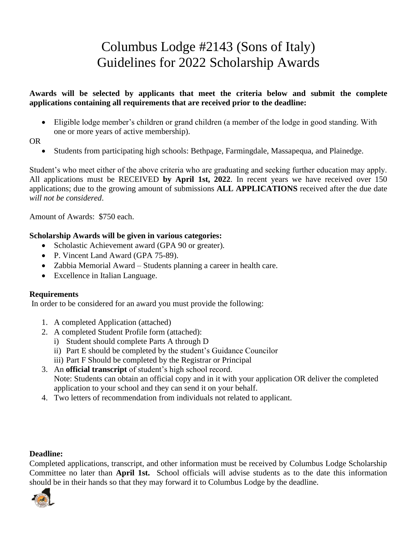# Columbus Lodge #2143 (Sons of Italy) Guidelines for 2022 Scholarship Awards

### **Awards will be selected by applicants that meet the criteria below and submit the complete applications containing all requirements that are received prior to the deadline:**

• Eligible lodge member's children or grand children (a member of the lodge in good standing. With one or more years of active membership).

### OR

• Students from participating high schools: Bethpage, Farmingdale, Massapequa, and Plainedge.

Student's who meet either of the above criteria who are graduating and seeking further education may apply. All applications must be RECEIVED **by April 1st, 2022**. In recent years we have received over 150 applications; due to the growing amount of submissions **ALL APPLICATIONS** received after the due date *will not be considered*.

Amount of Awards: \$750 each.

#### **Scholarship Awards will be given in various categories:**

- Scholastic Achievement award (GPA 90 or greater).
- P. Vincent Land Award (GPA 75-89).
- Zabbia Memorial Award Students planning a career in health care.
- Excellence in Italian Language.

#### **Requirements**

In order to be considered for an award you must provide the following:

- 1. A completed Application (attached)
- 2. A completed Student Profile form (attached):
	- i) Student should complete Parts A through D
	- ii) Part E should be completed by the student's Guidance Councilor
	- iii) Part F Should be completed by the Registrar or Principal
- 3. An **official transcript** of student's high school record. Note: Students can obtain an official copy and in it with your application OR deliver the completed application to your school and they can send it on your behalf.
- 4. Two letters of recommendation from individuals not related to applicant.

#### **Deadline:**

Completed applications, transcript, and other information must be received by Columbus Lodge Scholarship Committee no later than **April 1st.** School officials will advise students as to the date this information should be in their hands so that they may forward it to Columbus Lodge by the deadline.

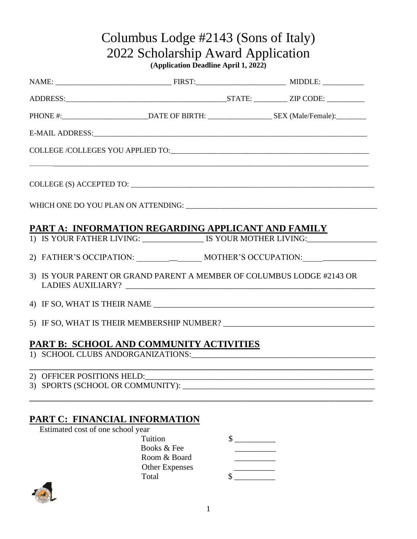# Columbus Lodge #2143 (Sons of Italy) 2022 Scholarship Award Application

**(Application Deadline April 1, 2022)**

| PHONE #:____________________________DATE OF BIRTH: _________________________SEX (Male/Female):____________                                                                                                                     |  |
|--------------------------------------------------------------------------------------------------------------------------------------------------------------------------------------------------------------------------------|--|
|                                                                                                                                                                                                                                |  |
|                                                                                                                                                                                                                                |  |
|                                                                                                                                                                                                                                |  |
|                                                                                                                                                                                                                                |  |
| PART A: INFORMATION REGARDING APPLICANT AND FAMILY                                                                                                                                                                             |  |
| 1) IS YOUR FATHER LIVING: _____________________ IS YOUR MOTHER LIVING:___________                                                                                                                                              |  |
|                                                                                                                                                                                                                                |  |
| 3) IS YOUR PARENT OR GRAND PARENT A MEMBER OF COLUMBUS LODGE #2143 OR                                                                                                                                                          |  |
|                                                                                                                                                                                                                                |  |
|                                                                                                                                                                                                                                |  |
|                                                                                                                                                                                                                                |  |
| <b>PART B: SCHOOL AND COMMUNITY ACTIVITIES</b>                                                                                                                                                                                 |  |
|                                                                                                                                                                                                                                |  |
| 2) OFFICER POSITIONS HELD: 2000 PERSON RELOSE AND THE RELOSE OF THE RELOSE AND THE RELOSE OF THE RELOSE AND THE RELOSE OF THE RELOSE OF THE RELOSE AND THE RELOSE OF THE RELOSE OF THE RELOSE OF THE RELOSE OF THE RELOSE OF T |  |

## **PART C: FINANCIAL INFORMATION**

Estimated cost of one school year

| Tuition               |  |
|-----------------------|--|
| Books & Fee           |  |
| Room & Board          |  |
| <b>Other Expenses</b> |  |
| Total                 |  |

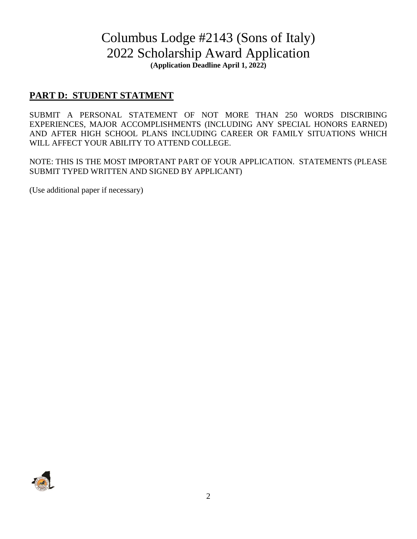# Columbus Lodge #2143 (Sons of Italy) 2022 Scholarship Award Application **(Application Deadline April 1, 2022)**

## **PART D: STUDENT STATMENT**

SUBMIT A PERSONAL STATEMENT OF NOT MORE THAN 250 WORDS DISCRIBING EXPERIENCES, MAJOR ACCOMPLISHMENTS (INCLUDING ANY SPECIAL HONORS EARNED) AND AFTER HIGH SCHOOL PLANS INCLUDING CAREER OR FAMILY SITUATIONS WHICH WILL AFFECT YOUR ABILITY TO ATTEND COLLEGE.

NOTE: THIS IS THE MOST IMPORTANT PART OF YOUR APPLICATION. STATEMENTS (PLEASE SUBMIT TYPED WRITTEN AND SIGNED BY APPLICANT)

(Use additional paper if necessary)